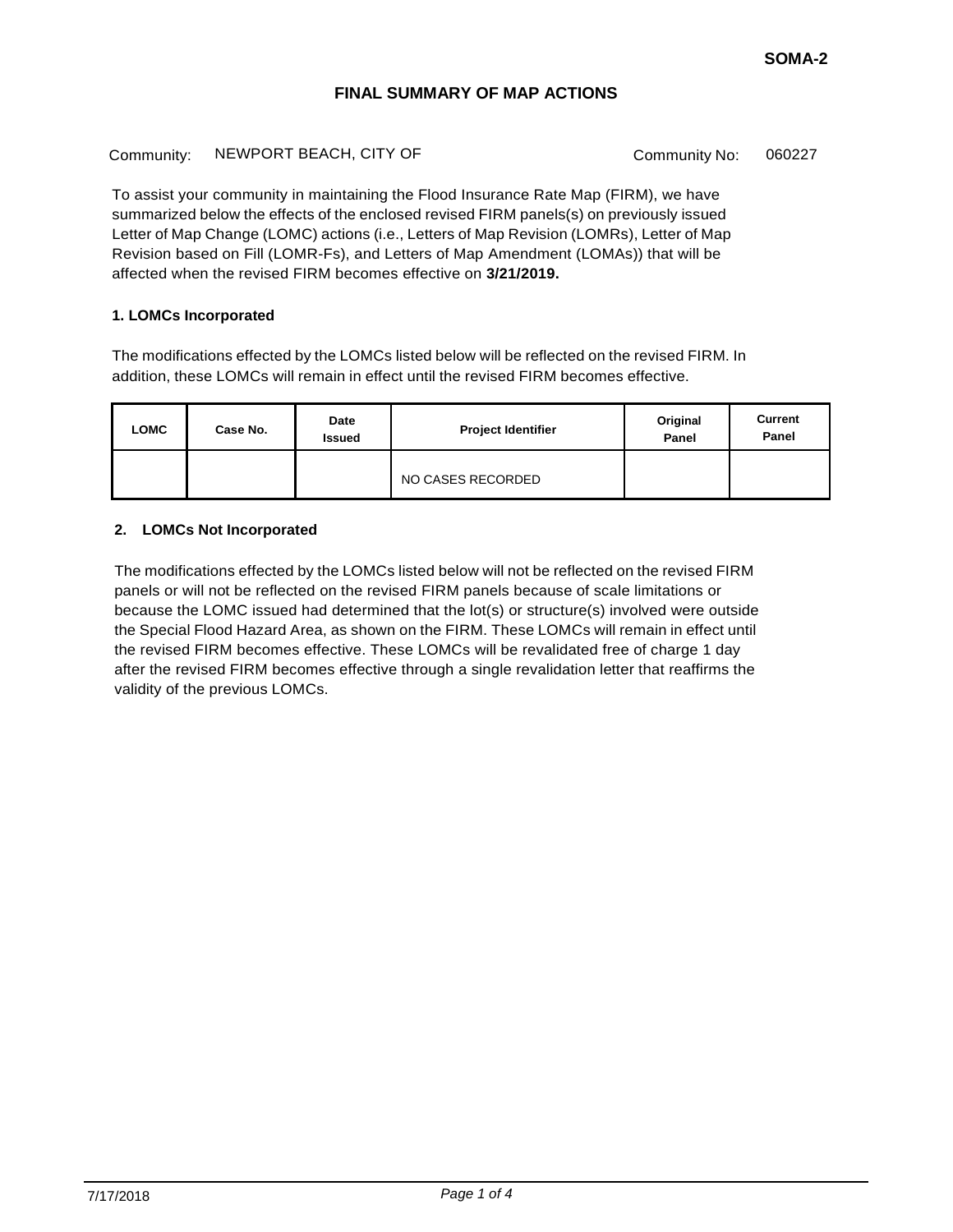Community: NEWPORT BEACH, CITY OF Community No: 060227

To assist your community in maintaining the Flood Insurance Rate Map (FIRM), we have summarized below the effects of the enclosed revised FIRM panels(s) on previously issued Letter of Map Change (LOMC) actions (i.e., Letters of Map Revision (LOMRs), Letter of Map Revision based on Fill (LOMR-Fs), and Letters of Map Amendment (LOMAs)) that will be affected when the revised FIRM becomes effective on **3/21/2019.**

### **1. LOMCs Incorporated**

The modifications effected by the LOMCs listed below will be reflected on the revised FIRM. In addition, these LOMCs will remain in effect until the revised FIRM becomes effective.

| LOMC | Case No. | Date<br><b>Issued</b> | <b>Project Identifier</b> | Original<br>Panel | <b>Current</b><br>Panel |
|------|----------|-----------------------|---------------------------|-------------------|-------------------------|
|      |          |                       | NO CASES RECORDED         |                   |                         |

## **2. LOMCs Not Incorporated**

The modifications effected by the LOMCs listed below will not be reflected on the revised FIRM panels or will not be reflected on the revised FIRM panels because of scale limitations or because the LOMC issued had determined that the lot(s) or structure(s) involved were outside the Special Flood Hazard Area, as shown on the FIRM. These LOMCs will remain in effect until the revised FIRM becomes effective. These LOMCs will be revalidated free of charge 1 day after the revised FIRM becomes effective through a single revalidation letter that reaffirms the validity of the previous LOMCs.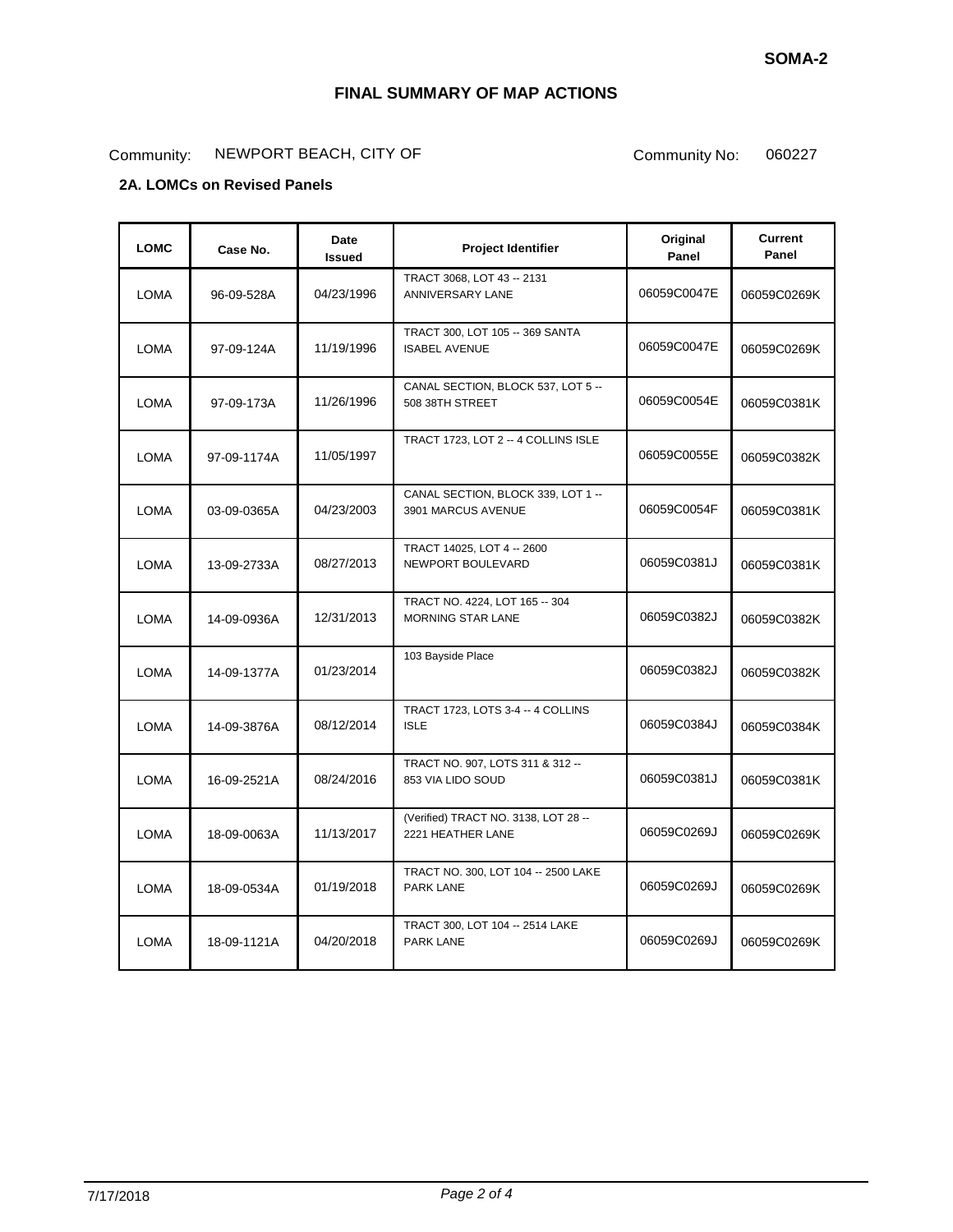# Community: NEWPORT BEACH, CITY OF Community No: 060227

# **2A. LOMCs on Revised Panels**

| <b>LOMC</b> | Case No.    | Date<br><b>Issued</b> | Project Identifier                                         | Original<br>Panel | <b>Current</b><br>Panel |
|-------------|-------------|-----------------------|------------------------------------------------------------|-------------------|-------------------------|
| <b>LOMA</b> | 96-09-528A  | 04/23/1996            | TRACT 3068, LOT 43 -- 2131<br>ANNIVERSARY LANE             | 06059C0047E       | 06059C0269K             |
| <b>LOMA</b> | 97-09-124A  | 11/19/1996            | TRACT 300, LOT 105 -- 369 SANTA<br><b>ISABEL AVENUE</b>    | 06059C0047E       | 06059C0269K             |
| <b>LOMA</b> | 97-09-173A  | 11/26/1996            | CANAL SECTION, BLOCK 537, LOT 5 --<br>508 38TH STREET      | 06059C0054E       | 06059C0381K             |
| <b>LOMA</b> | 97-09-1174A | 11/05/1997            | TRACT 1723, LOT 2 -- 4 COLLINS ISLE                        | 06059C0055E       | 06059C0382K             |
| LOMA        | 03-09-0365A | 04/23/2003            | CANAL SECTION, BLOCK 339, LOT 1 --<br>3901 MARCUS AVENUE   | 06059C0054F       | 06059C0381K             |
| <b>LOMA</b> | 13-09-2733A | 08/27/2013            | TRACT 14025, LOT 4 -- 2600<br>NEWPORT BOULEVARD            | 06059C0381J       | 06059C0381K             |
| <b>LOMA</b> | 14-09-0936A | 12/31/2013            | TRACT NO. 4224, LOT 165 -- 304<br><b>MORNING STAR LANE</b> | 06059C0382J       | 06059C0382K             |
| <b>LOMA</b> | 14-09-1377A | 01/23/2014            | 103 Bayside Place                                          | 06059C0382J       | 06059C0382K             |
| <b>LOMA</b> | 14-09-3876A | 08/12/2014            | TRACT 1723, LOTS 3-4 -- 4 COLLINS<br><b>ISLE</b>           | 06059C0384J       | 06059C0384K             |
| <b>LOMA</b> | 16-09-2521A | 08/24/2016            | TRACT NO. 907, LOTS 311 & 312 --<br>853 VIA LIDO SOUD      | 06059C0381J       | 06059C0381K             |
| <b>LOMA</b> | 18-09-0063A | 11/13/2017            | (Verified) TRACT NO. 3138, LOT 28 --<br>2221 HEATHER LANE  | 06059C0269J       | 06059C0269K             |
| <b>LOMA</b> | 18-09-0534A | 01/19/2018            | TRACT NO. 300, LOT 104 -- 2500 LAKE<br><b>PARK LANE</b>    | 06059C0269J       | 06059C0269K             |
| LOMA        | 18-09-1121A | 04/20/2018            | TRACT 300, LOT 104 -- 2514 LAKE<br><b>PARK LANE</b>        | 06059C0269J       | 06059C0269K             |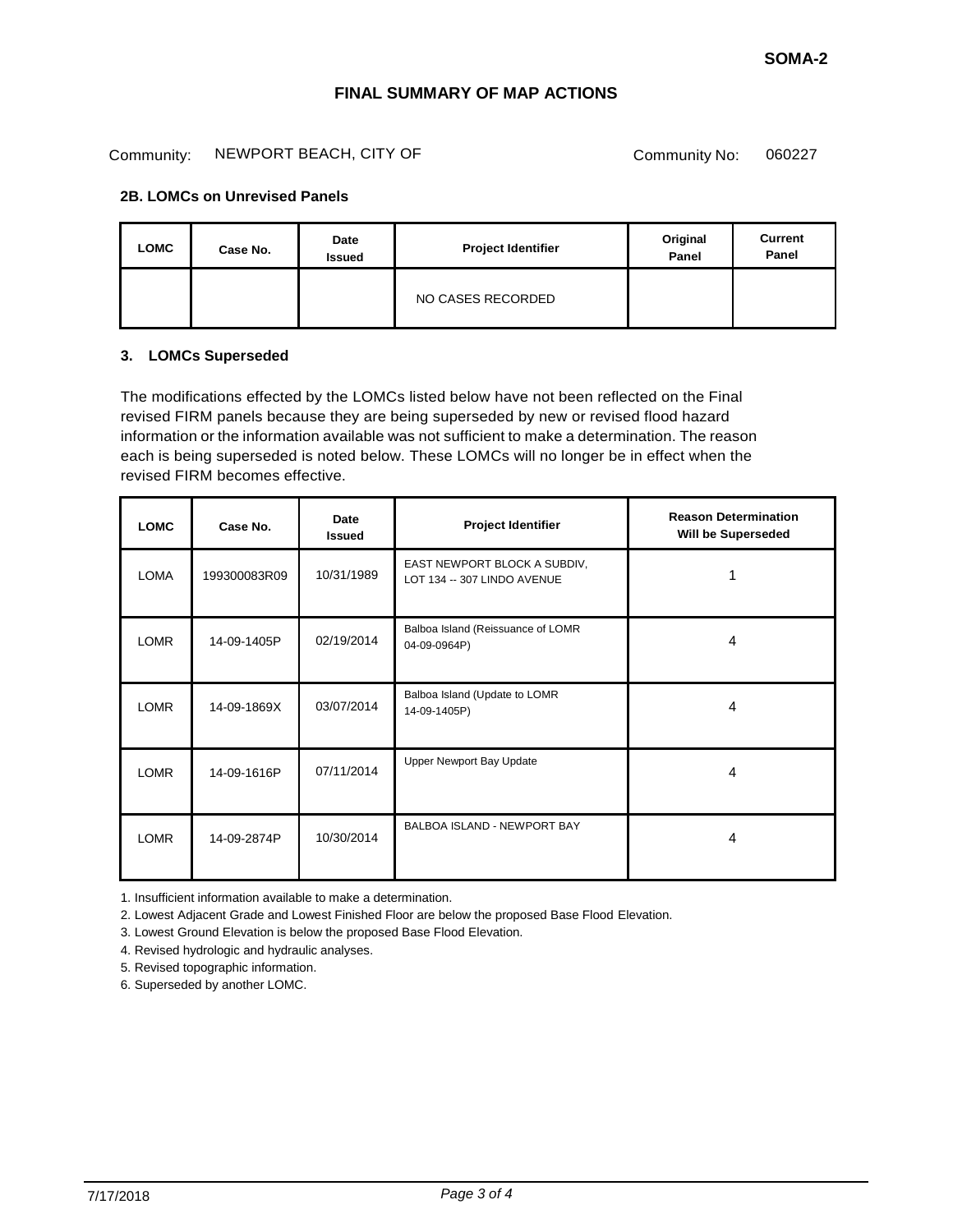#### Community: NEWPORT BEACH, CITY OF Community No: 060227

### **2B. LOMCs on Unrevised Panels**

| <b>LOMC</b> | Case No. | Date<br><b>Issued</b> | <b>Project Identifier</b> | Original<br>Panel | <b>Current</b><br>Panel |
|-------------|----------|-----------------------|---------------------------|-------------------|-------------------------|
|             |          |                       | NO CASES RECORDED         |                   |                         |

#### **3. LOMCs Superseded**

The modifications effected by the LOMCs listed below have not been reflected on the Final revised FIRM panels because they are being superseded by new or revised flood hazard information or the information available was not sufficient to make a determination. The reason each is being superseded is noted below. These LOMCs will no longer be in effect when the revised FIRM becomes effective.

| <b>LOMC</b> | Case No.     | Date<br><b>Issued</b> | Project Identifier                                          | <b>Reason Determination</b><br>Will be Superseded |
|-------------|--------------|-----------------------|-------------------------------------------------------------|---------------------------------------------------|
| <b>LOMA</b> | 199300083R09 | 10/31/1989            | EAST NEWPORT BLOCK A SUBDIV,<br>LOT 134 -- 307 LINDO AVENUE |                                                   |
| <b>LOMR</b> | 14-09-1405P  | 02/19/2014            | Balboa Island (Reissuance of LOMR<br>04-09-0964P)           | 4                                                 |
| <b>LOMR</b> | 14-09-1869X  | 03/07/2014            | Balboa Island (Update to LOMR<br>14-09-1405P)               | 4                                                 |
| <b>LOMR</b> | 14-09-1616P  | 07/11/2014            | Upper Newport Bay Update                                    | 4                                                 |
| <b>LOMR</b> | 14-09-2874P  | 10/30/2014            | BALBOA ISLAND - NEWPORT BAY                                 | 4                                                 |

1. Insufficient information available to make a determination.

2. Lowest Adjacent Grade and Lowest Finished Floor are below the proposed Base Flood Elevation.

3. Lowest Ground Elevation is below the proposed Base Flood Elevation.

4. Revised hydrologic and hydraulic analyses.

5. Revised topographic information.

6. Superseded by another LOMC.